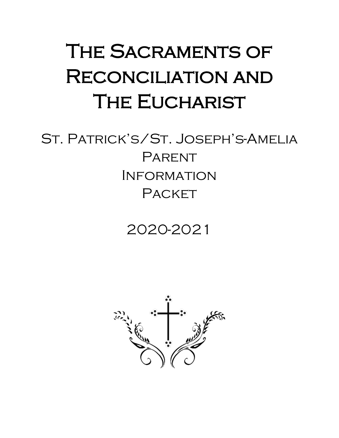# THE SACRAMENTS OF Reconciliation and **THE EUCHARIST**

# St. Patrick's/St. Joseph's-Amelia **PARENT** Information PACKET

# 2020-2021

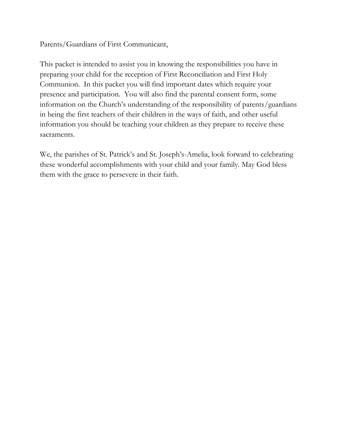Parents/Guardians of First Communicant,

This packet is intended to assist you in knowing the responsibilities you have in preparing your child for the reception of First Reconciliation and First Holy Communion. In this packet you will find important dates which require your presence and participation. You will also find the parental consent form, some information on the Church's understanding of the responsibility of parents/guardians in being the first teachers of their children in the ways of faith, and other useful information you should be teaching your children as they prepare to receive these sacraments.

We, the parishes of St. Patrick's and St. Joseph's-Amelia, look forward to celebrating these wonderful accomplishments with your child and your family. May God bless them with the grace to persevere in their faith.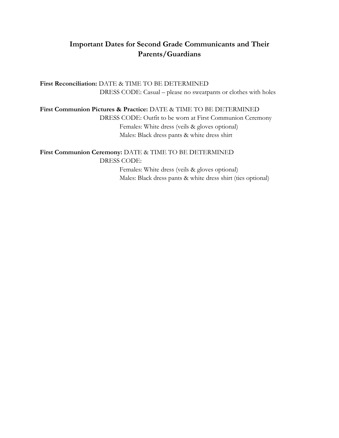### **Important Dates for Second Grade Communicants and Their Parents/Guardians**

**First Reconciliation:** DATE & TIME TO BE DETERMINED DRESS CODE: Casual – please no sweatpants or clothes with holes

**First Communion Pictures & Practice:** DATE & TIME TO BE DETERMINED

DRESS CODE: Outfit to be worn at First Communion Ceremony Females: White dress (veils & gloves optional) Males: Black dress pants & white dress shirt

**First Communion Ceremony:** DATE & TIME TO BE DETERMINED DRESS CODE: Females: White dress (veils & gloves optional) Males: Black dress pants & white dress shirt (ties optional)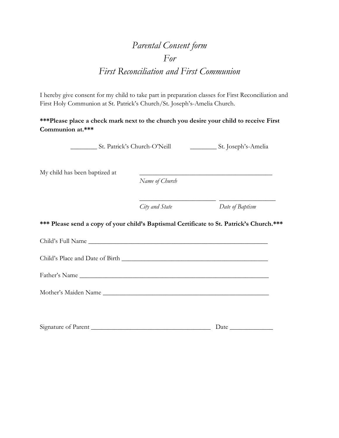## *Parental Consent form For First Reconciliation and First Communion*

I hereby give consent for my child to take part in preparation classes for First Reconciliation and First Holy Communion at St. Patrick's Church/St. Joseph's-Amelia Church.

**\*\*\*Please place a check mark next to the church you desire your child to receive First Communion at.\*\*\***

\_\_\_\_\_\_\_\_ St. Patrick's Church-O'Neill \_\_\_\_\_\_\_\_ St. Joseph's-Amelia

My child has been baptized at

*Name of Church*

*City and State Date of Baptism*

\_\_\_\_\_\_\_\_\_\_\_\_\_\_\_\_\_\_\_\_\_\_\_ \_\_\_\_\_\_\_\_\_\_\_\_\_\_\_\_\_

**\*\*\* Please send a copy of your child's Baptismal Certificate to St. Patrick's Church.\*\*\***

Child's Full Name

Child's Place and Date of Birth \_\_\_\_\_\_\_\_\_\_\_\_\_\_\_\_\_\_\_\_\_\_\_\_\_\_\_\_\_\_\_\_\_\_\_\_\_\_\_\_\_\_\_\_

Father's Name \_\_\_\_\_\_\_\_\_\_\_\_\_\_\_\_\_\_\_\_\_\_\_\_\_\_\_\_\_\_\_\_\_\_\_\_\_\_\_\_\_\_\_\_\_\_\_\_\_\_\_\_\_\_\_\_\_

Mother's Maiden Name \_\_\_\_\_\_\_\_\_\_\_\_\_\_\_\_\_\_\_\_\_\_\_\_\_\_\_\_\_\_\_\_\_\_\_\_\_\_\_\_\_\_\_\_\_\_\_\_\_\_

| Signature of Parent |  |
|---------------------|--|
|                     |  |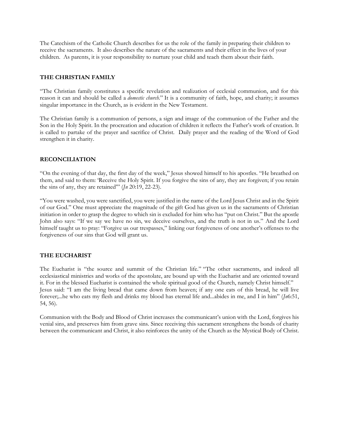The Catechism of the Catholic Church describes for us the role of the family in preparing their children to receive the sacraments. It also describes the nature of the sacraments and their effect in the lives of your children. As parents, it is your responsibility to nurture your child and teach them about their faith.

#### **THE CHRISTIAN FAMILY**

"The Christian family constitutes a specific revelation and realization of ecclesial communion, and for this reason it can and should be called a *domestic church.*" It is a community of faith, hope, and charity; it assumes singular importance in the Church, as is evident in the New Testament.

The Christian family is a communion of persons, a sign and image of the communion of the Father and the Son in the Holy Spirit. In the procreation and education of children it reflects the Father's work of creation. It is called to partake of the prayer and sacrifice of Christ. Daily prayer and the reading of the Word of God strengthen it in charity.

#### **RECONCILIATION**

"On the evening of that day, the first day of the week," Jesus showed himself to his apostles. "He breathed on them, and said to them: 'Receive the Holy Spirit. If you forgive the sins of any, they are forgiven; if you retain the sins of any, they are retained'" (*Jn* 20:19, 22-23).

"You were washed, you were sanctified, you were justified in the name of the Lord Jesus Christ and in the Spirit of our God." One must appreciate the magnitude of the gift God has given us in the sacraments of Christian initiation in order to grasp the degree to which sin is excluded for him who has "put on Christ." But the apostle John also says: "If we say we have no sin, we deceive ourselves, and the truth is not in us." And the Lord himself taught us to pray: "Forgive us our trespasses," linking our forgiveness of one another's offenses to the forgiveness of our sins that God will grant us.

#### **THE EUCHARIST**

The Eucharist is "the source and summit of the Christian life." "The other sacraments, and indeed all ecclesiastical ministries and works of the apostolate, are bound up with the Eucharist and are oriented toward it. For in the blessed Eucharist is contained the whole spiritual good of the Church, namely Christ himself." Jesus said: "I am the living bread that came down from heaven; if any one eats of this bread, he will live forever;...he who eats my flesh and drinks my blood has eternal life and...abides in me, and I in him" (*Jn*6:51, 54, 56).

Communion with the Body and Blood of Christ increases the communicant's union with the Lord, forgives his venial sins, and preserves him from grave sins. Since receiving this sacrament strengthens the bonds of charity between the communicant and Christ, it also reinforces the unity of the Church as the Mystical Body of Christ.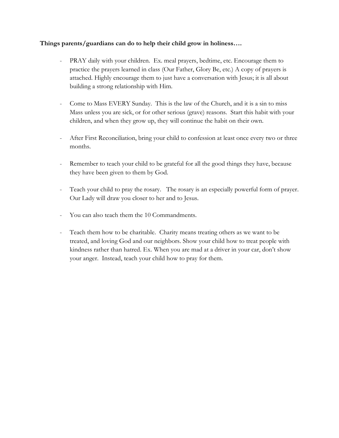#### **Things parents/guardians can do to help their child grow in holiness….**

- PRAY daily with your children. Ex. meal prayers, bedtime, etc. Encourage them to practice the prayers learned in class (Our Father, Glory Be, etc.) A copy of prayers is attached. Highly encourage them to just have a conversation with Jesus; it is all about building a strong relationship with Him.
- Come to Mass EVERY Sunday. This is the law of the Church, and it is a sin to miss Mass unless you are sick, or for other serious (grave) reasons. Start this habit with your children, and when they grow up, they will continue the habit on their own.
- After First Reconciliation, bring your child to confession at least once every two or three months.
- Remember to teach your child to be grateful for all the good things they have, because they have been given to them by God.
- Teach your child to pray the rosary. The rosary is an especially powerful form of prayer. Our Lady will draw you closer to her and to Jesus.
- You can also teach them the 10 Commandments.
- Teach them how to be charitable. Charity means treating others as we want to be treated, and loving God and our neighbors. Show your child how to treat people with kindness rather than hatred. Ex. When you are mad at a driver in your car, don't show your anger. Instead, teach your child how to pray for them.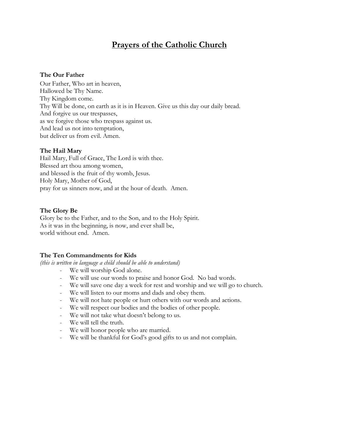### **Prayers of the Catholic Church**

#### **The Our Father**

Our Father, Who art in heaven, Hallowed be Thy Name. Thy Kingdom come. Thy Will be done, on earth as it is in Heaven. Give us this day our daily bread. And forgive us our trespasses, as we forgive those who trespass against us. And lead us not into temptation, but deliver us from evil. Amen.

#### **The Hail Mary**

Hail Mary, Full of Grace, The Lord is with thee. Blessed art thou among women, and blessed is the fruit of thy womb, Jesus. Holy Mary, Mother of God, pray for us sinners now, and at the hour of death. Amen.

#### **The Glory Be**

Glory be to the Father, and to the Son, and to the Holy Spirit. As it was in the beginning, is now, and ever shall be, world without end. Amen.

#### **The Ten Commandments for Kids**

*(this is written in language a child should be able to understand)*

- We will worship God alone.
- We will use our words to praise and honor God. No bad words.
- We will save one day a week for rest and worship and we will go to church.
- We will listen to our moms and dads and obey them.
- We will not hate people or hurt others with our words and actions.
- We will respect our bodies and the bodies of other people.
- We will not take what doesn't belong to us.
- We will tell the truth.
- We will honor people who are married.
- We will be thankful for God's good gifts to us and not complain.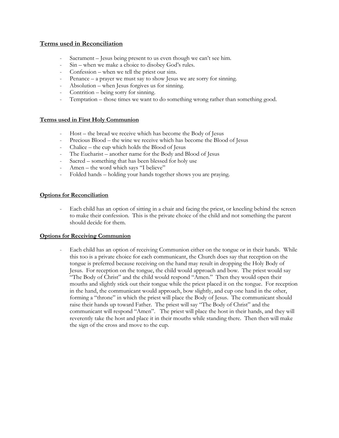#### **Terms used in Reconciliation**

- Sacrament Jesus being present to us even though we can't see him.
- Sin when we make a choice to disobey God's rules.
- Confession when we tell the priest our sins.
- Penance  $-$  a prayer we must say to show Jesus we are sorry for sinning.
- Absolution when Jesus forgives us for sinning.
- Contrition being sorry for sinning.
- Temptation those times we want to do something wrong rather than something good.

#### **Terms used in First Holy Communion**

- Host the bread we receive which has become the Body of Jesus
- Precious Blood the wine we receive which has become the Blood of Jesus
- Chalice the cup which holds the Blood of Jesus
- The Eucharist another name for the Body and Blood of Jesus
- Sacred something that has been blessed for holy use
- Amen the word which says "I believe"
- Folded hands holding your hands together shows you are praying.

#### **Options for Reconciliation**

Each child has an option of sitting in a chair and facing the priest, or kneeling behind the screen to make their confession. This is the private choice of the child and not something the parent should decide for them.

#### **Options for Receiving Communion**

Each child has an option of receiving Communion either on the tongue or in their hands. While this too is a private choice for each communicant, the Church does say that reception on the tongue is preferred because receiving on the hand may result in dropping the Holy Body of Jesus. For reception on the tongue, the child would approach and bow. The priest would say "The Body of Christ" and the child would respond "Amen." Then they would open their mouths and slightly stick out their tongue while the priest placed it on the tongue. For reception in the hand, the communicant would approach, bow slightly, and cup one hand in the other, forming a "throne" in which the priest will place the Body of Jesus. The communicant should raise their hands up toward Father. The priest will say "The Body of Christ" and the communicant will respond "Amen". The priest will place the host in their hands, and they will reverently take the host and place it in their mouths while standing there. Then then will make the sign of the cross and move to the cup.